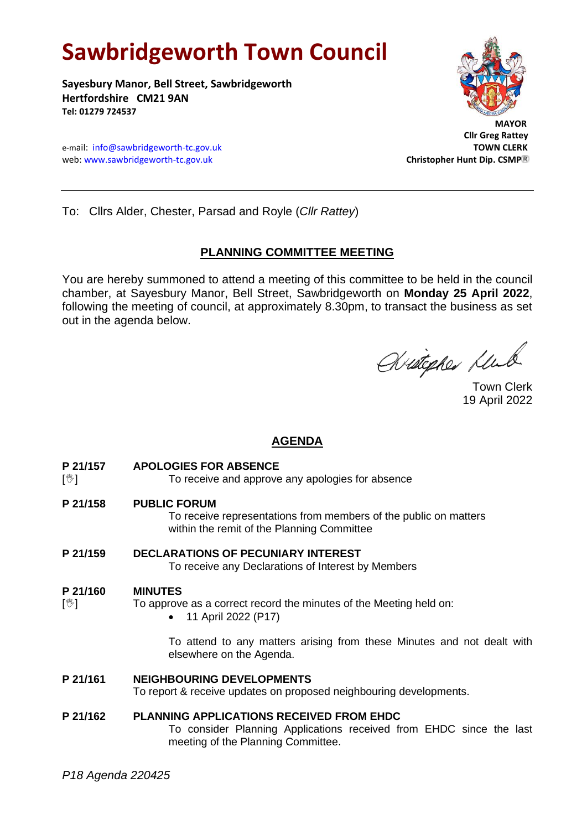# **Sawbridgeworth Town Council**

**Sayesbury Manor, Bell Street, Sawbridgeworth Hertfordshire CM21 9AN Tel: 01279 724537**

e-mail: [info@sawbridgeworth-tc.gov.uk](mailto:info@sawbridgeworth-tc.gov.uk)<br>
web: www.sawbridgeworth-tc.gov.uk **TOWN CLERK**<br>
Christopher Hunt Dip. CSMP® web: www.sawbridgeworth-tc.gov.uk



 **Cllr Greg Rattey**

To: Cllrs Alder, Chester, Parsad and Royle (*Cllr Rattey*)

## **PLANNING COMMITTEE MEETING**

You are hereby summoned to attend a meeting of this committee to be held in the council chamber, at Sayesbury Manor, Bell Street, Sawbridgeworth on **Monday 25 April 2022**, following the meeting of council, at approximately 8.30pm, to transact the business as set out in the agenda below.

Writepher Klub

19 April 2022

# **AGENDA**

**P 21/157 APOLOGIES FOR ABSENCE**

[ $\sqrt[6]{ }$ ] To receive and approve any apologies for absence

**P 21/158 PUBLIC FORUM**

To receive representations from members of the public on matters within the remit of the Planning Committee

**P 21/159 DECLARATIONS OF PECUNIARY INTEREST**

To receive any Declarations of Interest by Members

#### **P 21/160 MINUTES**

- $[\mathcal{Y}]$  To approve as a correct record the minutes of the Meeting held on:
	- 11 April 2022 (P17)

To attend to any matters arising from these Minutes and not dealt with elsewhere on the Agenda.

#### **P 21/161 NEIGHBOURING DEVELOPMENTS**

To report & receive updates on proposed neighbouring developments.

## **P 21/162 PLANNING APPLICATIONS RECEIVED FROM EHDC**

To consider Planning Applications received from EHDC since the last meeting of the Planning Committee.